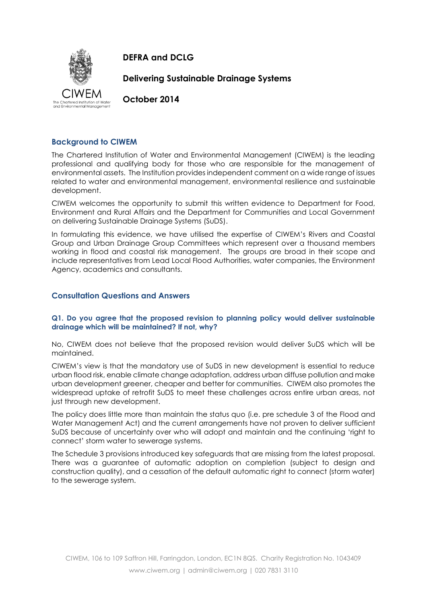

**DEFRA and DCLG**

**Delivering Sustainable Drainage Systems**

**October 2014**

# **Background to CIWEM**

The Chartered Institution of Water and Environmental Management (CIWEM) is the leading professional and qualifying body for those who are responsible for the management of environmental assets. The Institution provides independent comment on a wide range of issues related to water and environmental management, environmental resilience and sustainable development.

CIWEM welcomes the opportunity to submit this written evidence to Department for Food, Environment and Rural Affairs and the Department for Communities and Local Government on delivering Sustainable Drainage Systems (SuDS).

In formulating this evidence, we have utilised the expertise of CIWEM's Rivers and Coastal Group and Urban Drainage Group Committees which represent over a thousand members working in flood and coastal risk management. The groups are broad in their scope and include representatives from Lead Local Flood Authorities, water companies, the Environment Agency, academics and consultants.

# **Consultation Questions and Answers**

## **Q1. Do you agree that the proposed revision to planning policy would deliver sustainable drainage which will be maintained? If not, why?**

No, CIWEM does not believe that the proposed revision would deliver SuDS which will be maintained.

CIWEM's view is that the mandatory use of SuDS in new development is essential to reduce urban flood risk, enable climate change adaptation, address urban diffuse pollution and make urban development greener, cheaper and better for communities. CIWEM also promotes the widespread uptake of retrofit SuDS to meet these challenges across entire urban areas, not just through new development.

The policy does little more than maintain the status quo (i.e. pre schedule 3 of the Flood and Water Management Act) and the current arrangements have not proven to deliver sufficient SuDS because of uncertainty over who will adopt and maintain and the continuing 'right to connect' storm water to sewerage systems.

The Schedule 3 provisions introduced key safeguards that are missing from the latest proposal. There was a guarantee of automatic adoption on completion (subject to design and construction quality), and a cessation of the default automatic right to connect (storm water) to the sewerage system.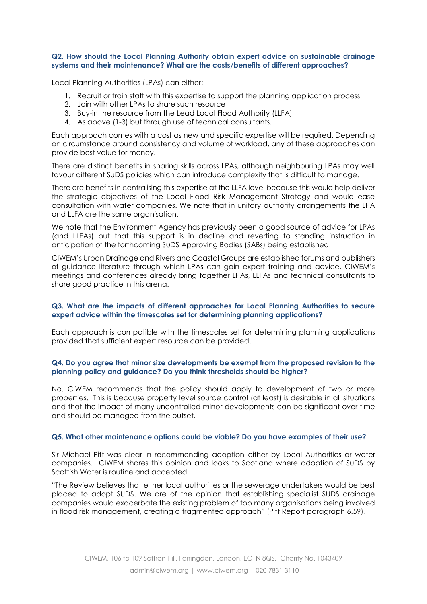#### **Q2. How should the Local Planning Authority obtain expert advice on sustainable drainage systems and their maintenance? What are the costs/benefits of different approaches?**

Local Planning Authorities (LPAs) can either:

- 1. Recruit or train staff with this expertise to support the planning application process
- 2. Join with other LPAs to share such resource
- 3. Buy-in the resource from the Lead Local Flood Authority (LLFA)
- 4. As above (1-3) but through use of technical consultants.

Each approach comes with a cost as new and specific expertise will be required. Depending on circumstance around consistency and volume of workload, any of these approaches can provide best value for money.

There are distinct benefits in sharing skills across LPAs, although neighbouring LPAs may well favour different SuDS policies which can introduce complexity that is difficult to manage.

There are benefits in centralising this expertise at the LLFA level because this would help deliver the strategic objectives of the Local Flood Risk Management Strategy and would ease consultation with water companies. We note that in unitary authority arrangements the LPA and LLFA are the same organisation.

We note that the Environment Agency has previously been a good source of advice for LPAs (and LLFAs) but that this support is in decline and reverting to standing instruction in anticipation of the forthcoming SuDS Approving Bodies (SABs) being established.

CIWEM's Urban Drainage and Rivers and Coastal Groups are established forums and publishers of guidance literature through which LPAs can gain expert training and advice. CIWEM's meetings and conferences already bring together LPAs, LLFAs and technical consultants to share good practice in this arena.

### **Q3. What are the impacts of different approaches for Local Planning Authorities to secure expert advice within the timescales set for determining planning applications?**

Each approach is compatible with the timescales set for determining planning applications provided that sufficient expert resource can be provided.

### **Q4. Do you agree that minor size developments be exempt from the proposed revision to the planning policy and guidance? Do you think thresholds should be higher?**

No. CIWEM recommends that the policy should apply to development of two or more properties. This is because property level source control (at least) is desirable in all situations and that the impact of many uncontrolled minor developments can be significant over time and should be managed from the outset.

#### **Q5. What other maintenance options could be viable? Do you have examples of their use?**

Sir Michael Pitt was clear in recommending adoption either by Local Authorities or water companies. CIWEM shares this opinion and looks to Scotland where adoption of SuDS by Scottish Water is routine and accepted.

"The Review believes that either local authorities or the sewerage undertakers would be best placed to adopt SUDS. We are of the opinion that establishing specialist SUDS drainage companies would exacerbate the existing problem of too many organisations being involved in flood risk management, creating a fragmented approach" (Pitt Report paragraph 6.59).